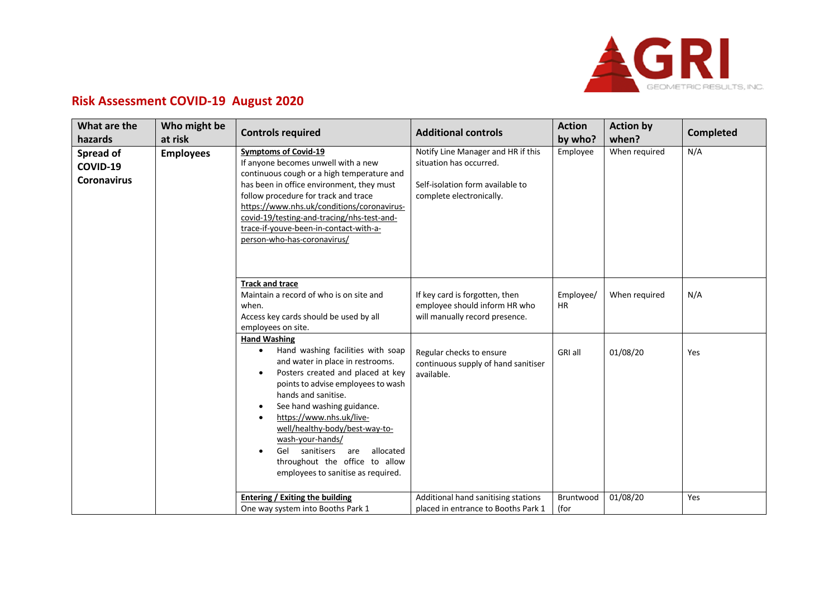

## **Risk Assessment COVID-19 August 2020**

| What are the<br>hazards                     | Who might be<br>at risk | <b>Controls required</b>                                                                                                                                                                                                                                                                                                                                                                                                                                                         | <b>Additional controls</b>                                                                                                    | <b>Action</b><br>by who? | <b>Action by</b><br>when? | <b>Completed</b> |
|---------------------------------------------|-------------------------|----------------------------------------------------------------------------------------------------------------------------------------------------------------------------------------------------------------------------------------------------------------------------------------------------------------------------------------------------------------------------------------------------------------------------------------------------------------------------------|-------------------------------------------------------------------------------------------------------------------------------|--------------------------|---------------------------|------------------|
| Spread of<br>COVID-19<br><b>Coronavirus</b> | <b>Employees</b>        | <b>Symptoms of Covid-19</b><br>If anyone becomes unwell with a new<br>continuous cough or a high temperature and<br>has been in office environment, they must<br>follow procedure for track and trace<br>https://www.nhs.uk/conditions/coronavirus-<br>covid-19/testing-and-tracing/nhs-test-and-<br>trace-if-youve-been-in-contact-with-a-<br>person-who-has-coronavirus/                                                                                                       | Notify Line Manager and HR if this<br>situation has occurred.<br>Self-isolation form available to<br>complete electronically. | Employee                 | When required             | N/A              |
|                                             |                         | <b>Track and trace</b><br>Maintain a record of who is on site and<br>when.<br>Access key cards should be used by all<br>employees on site.                                                                                                                                                                                                                                                                                                                                       | If key card is forgotten, then<br>employee should inform HR who<br>will manually record presence.                             | Employee/<br><b>HR</b>   | When required             | N/A              |
|                                             |                         | <b>Hand Washing</b><br>Hand washing facilities with soap<br>$\bullet$<br>and water in place in restrooms.<br>Posters created and placed at key<br>$\bullet$<br>points to advise employees to wash<br>hands and sanitise.<br>See hand washing guidance.<br>$\bullet$<br>https://www.nhs.uk/live-<br>$\bullet$<br>well/healthy-body/best-way-to-<br>wash-your-hands/<br>Gel<br>sanitisers are<br>allocated<br>throughout the office to allow<br>employees to sanitise as required. | Regular checks to ensure<br>continuous supply of hand sanitiser<br>available.                                                 | GRI all                  | 01/08/20                  | Yes              |
|                                             |                         | <b>Entering / Exiting the building</b><br>One way system into Booths Park 1                                                                                                                                                                                                                                                                                                                                                                                                      | Additional hand sanitising stations<br>placed in entrance to Booths Park 1                                                    | Bruntwood<br>(for        | 01/08/20                  | Yes              |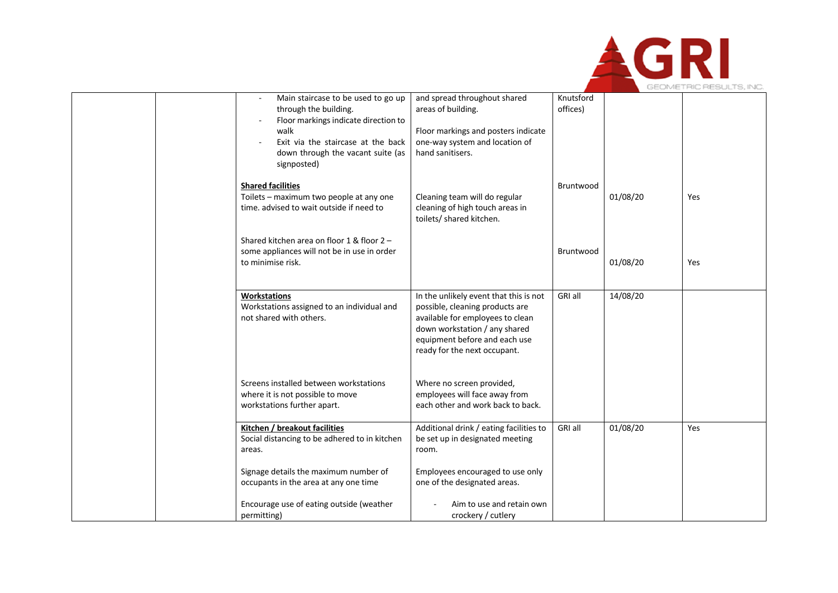

| <b>Shared facilities</b><br>Bruntwood<br>01/08/20<br>Toilets - maximum two people at any one<br>Cleaning team will do regular<br>Yes<br>time, advised to wait outside if need to<br>cleaning of high touch areas in<br>toilets/ shared kitchen.<br>Shared kitchen area on floor 1 & floor $2 -$<br>some appliances will not be in use in order<br>Bruntwood<br>01/08/20<br>to minimise risk.<br>Yes<br>In the unlikely event that this is not<br>14/08/20<br>GRI all<br><b>Workstations</b><br>Workstations assigned to an individual and<br>possible, cleaning products are<br>not shared with others.<br>available for employees to clean<br>down workstation / any shared<br>equipment before and each use<br>ready for the next occupant.<br>Screens installed between workstations<br>Where no screen provided,<br>employees will face away from<br>where it is not possible to move<br>each other and work back to back.<br>workstations further apart.<br>Additional drink / eating facilities to<br>GRI all<br>01/08/20<br>Kitchen / breakout facilities<br>Yes<br>Social distancing to be adhered to in kitchen<br>be set up in designated meeting<br>areas.<br>room.<br>Signage details the maximum number of<br>Employees encouraged to use only<br>occupants in the area at any one time<br>one of the designated areas. | Main staircase to be used to go up<br>through the building.<br>Floor markings indicate direction to<br>walk<br>Exit via the staircase at the back<br>down through the vacant suite (as<br>signposted) | and spread throughout shared<br>areas of building.<br>Floor markings and posters indicate<br>one-way system and location of<br>hand sanitisers. | Knutsford<br>offices) |  |
|--------------------------------------------------------------------------------------------------------------------------------------------------------------------------------------------------------------------------------------------------------------------------------------------------------------------------------------------------------------------------------------------------------------------------------------------------------------------------------------------------------------------------------------------------------------------------------------------------------------------------------------------------------------------------------------------------------------------------------------------------------------------------------------------------------------------------------------------------------------------------------------------------------------------------------------------------------------------------------------------------------------------------------------------------------------------------------------------------------------------------------------------------------------------------------------------------------------------------------------------------------------------------------------------------------------------------------------|-------------------------------------------------------------------------------------------------------------------------------------------------------------------------------------------------------|-------------------------------------------------------------------------------------------------------------------------------------------------|-----------------------|--|
|                                                                                                                                                                                                                                                                                                                                                                                                                                                                                                                                                                                                                                                                                                                                                                                                                                                                                                                                                                                                                                                                                                                                                                                                                                                                                                                                      |                                                                                                                                                                                                       |                                                                                                                                                 |                       |  |
|                                                                                                                                                                                                                                                                                                                                                                                                                                                                                                                                                                                                                                                                                                                                                                                                                                                                                                                                                                                                                                                                                                                                                                                                                                                                                                                                      |                                                                                                                                                                                                       |                                                                                                                                                 |                       |  |
|                                                                                                                                                                                                                                                                                                                                                                                                                                                                                                                                                                                                                                                                                                                                                                                                                                                                                                                                                                                                                                                                                                                                                                                                                                                                                                                                      |                                                                                                                                                                                                       |                                                                                                                                                 |                       |  |
|                                                                                                                                                                                                                                                                                                                                                                                                                                                                                                                                                                                                                                                                                                                                                                                                                                                                                                                                                                                                                                                                                                                                                                                                                                                                                                                                      |                                                                                                                                                                                                       |                                                                                                                                                 |                       |  |
|                                                                                                                                                                                                                                                                                                                                                                                                                                                                                                                                                                                                                                                                                                                                                                                                                                                                                                                                                                                                                                                                                                                                                                                                                                                                                                                                      |                                                                                                                                                                                                       |                                                                                                                                                 |                       |  |
| Encourage use of eating outside (weather<br>Aim to use and retain own<br>crockery / cutlery<br>permitting)                                                                                                                                                                                                                                                                                                                                                                                                                                                                                                                                                                                                                                                                                                                                                                                                                                                                                                                                                                                                                                                                                                                                                                                                                           |                                                                                                                                                                                                       |                                                                                                                                                 |                       |  |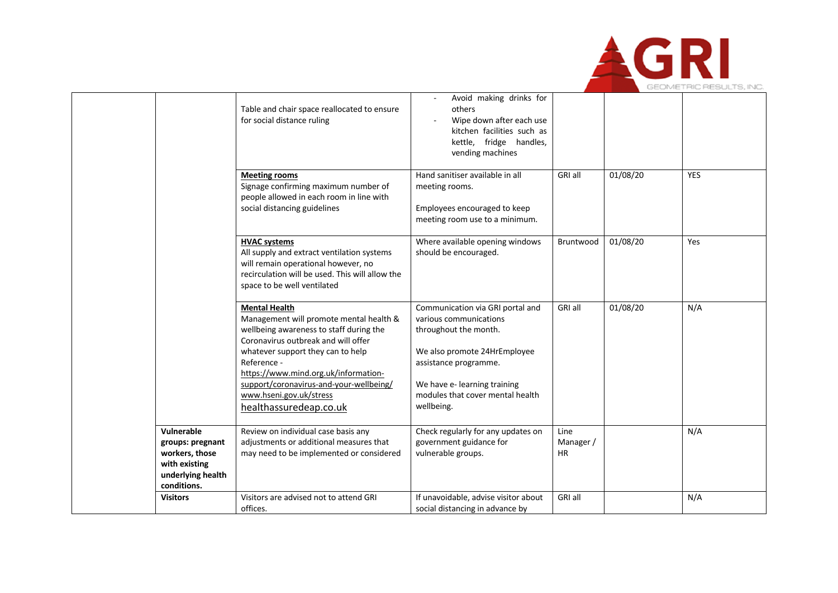

|                                                                                                       | Table and chair space reallocated to ensure<br>for social distance ruling                                                                                                                                                                                                                                                                     | Avoid making drinks for<br>others<br>Wipe down after each use<br>kitchen facilities such as<br>kettle, fridge handles,<br>vending machines                                                                                     |                                |          |            |
|-------------------------------------------------------------------------------------------------------|-----------------------------------------------------------------------------------------------------------------------------------------------------------------------------------------------------------------------------------------------------------------------------------------------------------------------------------------------|--------------------------------------------------------------------------------------------------------------------------------------------------------------------------------------------------------------------------------|--------------------------------|----------|------------|
|                                                                                                       | <b>Meeting rooms</b><br>Signage confirming maximum number of<br>people allowed in each room in line with<br>social distancing guidelines                                                                                                                                                                                                      | Hand sanitiser available in all<br>meeting rooms.<br>Employees encouraged to keep<br>meeting room use to a minimum.                                                                                                            | <b>GRI all</b>                 | 01/08/20 | <b>YES</b> |
|                                                                                                       | <b>HVAC systems</b><br>All supply and extract ventilation systems<br>will remain operational however, no<br>recirculation will be used. This will allow the<br>space to be well ventilated                                                                                                                                                    | Where available opening windows<br>should be encouraged.                                                                                                                                                                       | Bruntwood                      | 01/08/20 | Yes        |
|                                                                                                       | <b>Mental Health</b><br>Management will promote mental health &<br>wellbeing awareness to staff during the<br>Coronavirus outbreak and will offer<br>whatever support they can to help<br>Reference -<br>https://www.mind.org.uk/information-<br>support/coronavirus-and-your-wellbeing/<br>www.hseni.gov.uk/stress<br>healthassuredeap.co.uk | Communication via GRI portal and<br>various communications<br>throughout the month.<br>We also promote 24HrEmployee<br>assistance programme.<br>We have e- learning training<br>modules that cover mental health<br>wellbeing. | GRI all                        | 01/08/20 | N/A        |
| Vulnerable<br>groups: pregnant<br>workers, those<br>with existing<br>underlying health<br>conditions. | Review on individual case basis any<br>adjustments or additional measures that<br>may need to be implemented or considered                                                                                                                                                                                                                    | Check regularly for any updates on<br>government guidance for<br>vulnerable groups.                                                                                                                                            | Line<br>Manager /<br><b>HR</b> |          | N/A        |
| <b>Visitors</b>                                                                                       | Visitors are advised not to attend GRI<br>offices.                                                                                                                                                                                                                                                                                            | If unavoidable, advise visitor about<br>social distancing in advance by                                                                                                                                                        | GRI all                        |          | N/A        |